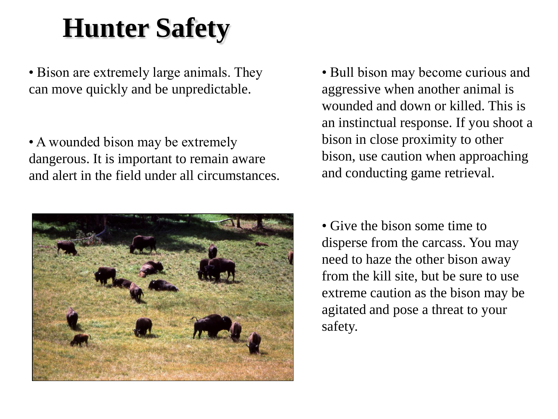## **Hunter Safety**

• Bison are extremely large animals. They can move quickly and be unpredictable.

• A wounded bison may be extremely dangerous. It is important to remain aware and alert in the field under all circumstances.



• Bull bison may become curious and aggressive when another animal is wounded and down or killed. This is an instinctual response. If you shoot a bison in close proximity to other bison, use caution when approaching and conducting game retrieval.

• Give the bison some time to disperse from the carcass. You may need to haze the other bison away from the kill site, but be sure to use extreme caution as the bison may be agitated and pose a threat to your safety.